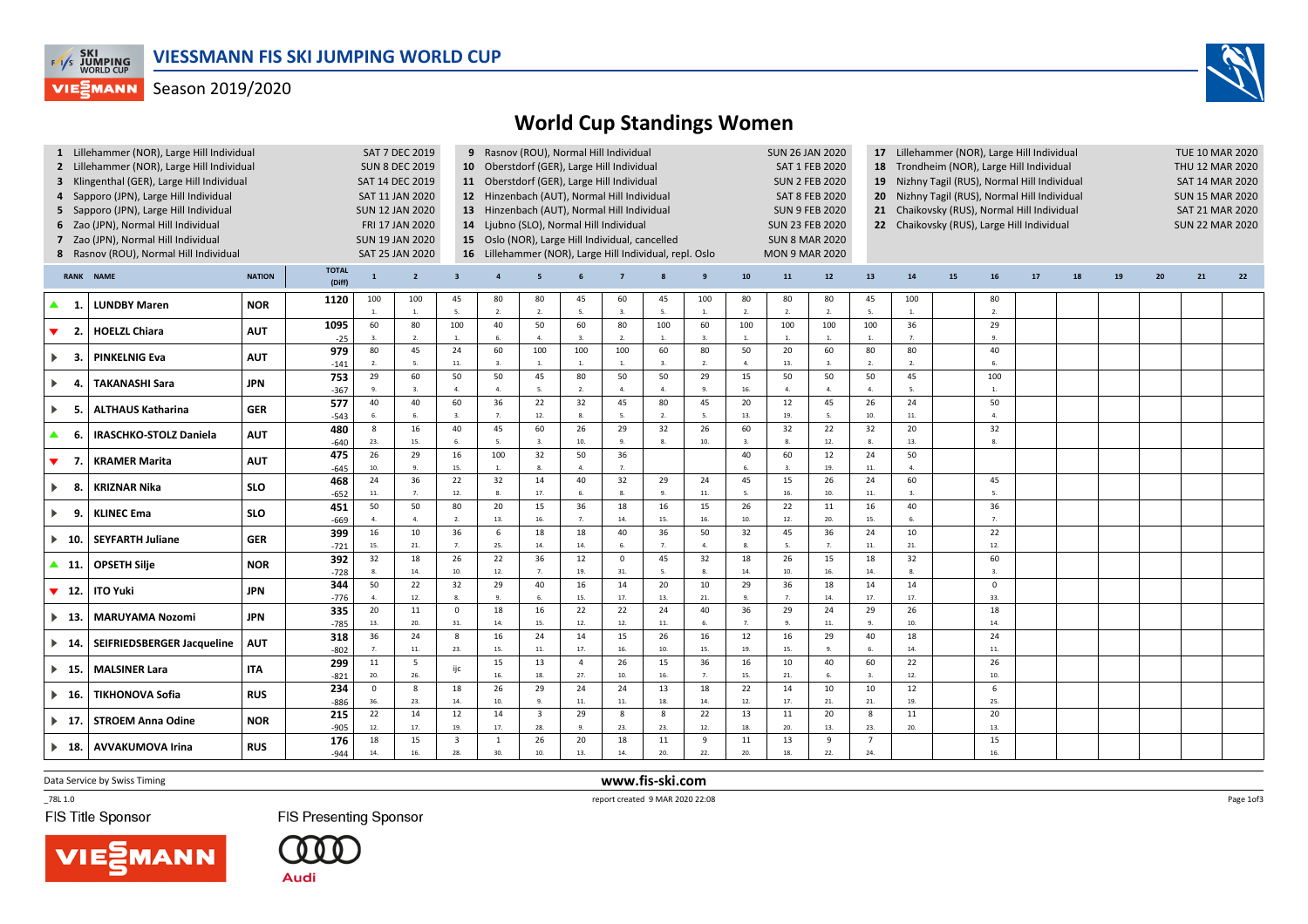

## Season 2019/2020



|                              | Lillehammer (NOR), Large Hill Individual    |               |               | SAT 7 DEC 2019<br>9 Rasnov (ROU), Normal Hill Individual            |                        |                                                         |                |                                                 |                       |                        |                                                                           |                      |                                                                        |                       | <b>SUN 26 JAN 2020</b><br>17 Lillehammer (NOR), Large Hill Individual |                      |                      |    |                |    |                        |                 |                        |    | <b>TUE 10 MAR 2020</b> |  |  |  |  |
|------------------------------|---------------------------------------------|---------------|---------------|---------------------------------------------------------------------|------------------------|---------------------------------------------------------|----------------|-------------------------------------------------|-----------------------|------------------------|---------------------------------------------------------------------------|----------------------|------------------------------------------------------------------------|-----------------------|-----------------------------------------------------------------------|----------------------|----------------------|----|----------------|----|------------------------|-----------------|------------------------|----|------------------------|--|--|--|--|
|                              | 2 Lillehammer (NOR), Large Hill Individual  |               |               | 10 Oberstdorf (GER), Large Hill Individual<br><b>SUN 8 DEC 2019</b> |                        |                                                         |                |                                                 |                       |                        |                                                                           |                      | 18 Trondheim (NOR), Large Hill Individual<br><b>SAT 1 FEB 2020</b>     |                       |                                                                       |                      |                      |    |                |    |                        | THU 12 MAR 2020 |                        |    |                        |  |  |  |  |
|                              | 3 Klingenthal (GER), Large Hill Individual  |               |               |                                                                     | SAT 14 DEC 2019        |                                                         |                | 11 Oberstdorf (GER), Large Hill Individual      |                       |                        |                                                                           |                      | 19 Nizhny Tagil (RUS), Normal Hill Individual<br><b>SUN 2 FEB 2020</b> |                       |                                                                       |                      |                      |    |                |    |                        | SAT 14 MAR 2020 |                        |    |                        |  |  |  |  |
|                              | 4 Sapporo (JPN), Large Hill Individual      |               |               |                                                                     | SAT 11 JAN 2020        |                                                         |                | 12 Hinzenbach (AUT), Normal Hill Individual     |                       |                        | <b>SAT 8 FEB 2020</b><br>Nizhny Tagil (RUS), Normal Hill Individual<br>20 |                      |                                                                        |                       |                                                                       |                      |                      |    |                |    | <b>SUN 15 MAR 2020</b> |                 |                        |    |                        |  |  |  |  |
|                              | 5 Sapporo (JPN), Large Hill Individual      |               |               |                                                                     | <b>SUN 12 JAN 2020</b> |                                                         |                | 13 Hinzenbach (AUT), Normal Hill Individual     |                       |                        |                                                                           |                      | <b>SUN 9 FEB 2020</b><br>21 Chaikovsky (RUS), Normal Hill Individual   |                       |                                                                       |                      |                      |    |                |    |                        | SAT 21 MAR 2020 |                        |    |                        |  |  |  |  |
|                              | 6 Zao (JPN), Normal Hill Individual         |               |               |                                                                     | FRI 17 JAN 2020        |                                                         |                | 14 Ljubno (SLO), Normal Hill Individual         |                       |                        |                                                                           |                      | 22 Chaikovsky (RUS), Large Hill Individual<br><b>SUN 23 FEB 2020</b>   |                       |                                                                       |                      |                      |    |                |    |                        |                 | <b>SUN 22 MAR 2020</b> |    |                        |  |  |  |  |
|                              | 7 Zao (JPN), Normal Hill Individual         |               |               |                                                                     | <b>SUN 19 JAN 2020</b> |                                                         |                | 15 Oslo (NOR), Large Hill Individual, cancelled |                       | <b>SUN 8 MAR 2020</b>  |                                                                           |                      |                                                                        |                       |                                                                       |                      |                      |    |                |    |                        |                 |                        |    |                        |  |  |  |  |
|                              | 8 Rasnov (ROU), Normal Hill Individual      |               |               |                                                                     | <b>SAT 25 JAN 2020</b> | 16 Lillehammer (NOR), Large Hill Individual, repl. Oslo |                |                                                 |                       |                        |                                                                           |                      |                                                                        | <b>MON 9 MAR 2020</b> |                                                                       |                      |                      |    |                |    |                        |                 |                        |    |                        |  |  |  |  |
|                              |                                             |               |               |                                                                     |                        |                                                         |                |                                                 |                       |                        |                                                                           |                      |                                                                        |                       |                                                                       |                      |                      |    |                |    |                        |                 |                        |    |                        |  |  |  |  |
|                              | <b>RANK NAME</b>                            | <b>NATION</b> | (Diff)        | $\mathbf 1$                                                         | $\overline{2}$         | $\overline{\mathbf{3}}$                                 | $\overline{a}$ |                                                 |                       |                        |                                                                           |                      | 10                                                                     | 11                    | 12                                                                    | 13                   | 14                   | 15 | 16             | 17 | 18                     | 19              | 20                     | 21 | 22                     |  |  |  |  |
| - 1.                         | <b>LUNDBY Maren</b><br><b>HOELZL Chiara</b> | <b>NOR</b>    | 1120          | 100                                                                 | 100                    | 45                                                      | 80             | 80                                              | 45<br>5.              | 60<br>$\overline{3}$ . | 45                                                                        | 100                  | 80                                                                     | 80                    | 80                                                                    | 45                   | 100                  |    | 80             |    |                        |                 |                        |    |                        |  |  |  |  |
|                              |                                             |               |               | <sup>1</sup>                                                        | $\overline{1}$         | 5.                                                      | 2.             | 2.                                              | 60                    |                        | 5.                                                                        | $\overline{1}$       | 2.                                                                     | $\overline{2}$        | 2.                                                                    | 5                    | 1.                   |    | 2.             |    |                        |                 |                        |    |                        |  |  |  |  |
| ▼<br>$\overline{2}$          |                                             | <b>AUT</b>    | 1095          | 60<br>$\overline{\mathbf{3}}$                                       | 80<br>$\overline{2}$   | 100<br>$\overline{1}$                                   | 40<br>6.       | 50<br>$\mathbf{4}$                              | 3.                    | 80<br>$\overline{2}$ . | 100<br>1.                                                                 | 60<br>$\mathbf{3}$   | 100<br><b>1.</b>                                                       | 100                   | 100<br><b>1.</b>                                                      | 100                  | 36<br>$\overline{z}$ |    | 29<br>9.       |    |                        |                 |                        |    |                        |  |  |  |  |
|                              |                                             |               | $-25$<br>979  | 80                                                                  | 45                     | 24                                                      | 60             | 100                                             | 100                   | 100                    | 60                                                                        | 80                   | 50                                                                     | 20                    | 60                                                                    | 80                   | 80                   |    | 40             |    |                        |                 |                        |    |                        |  |  |  |  |
| 3                            | <b>PINKELNIG Eva</b>                        | <b>AUT</b>    | $-141$        | $\overline{2}$                                                      |                        | 11.                                                     | $\overline{3}$ | $\mathbf{1}$ .                                  | 1.                    | $\overline{1}$         | 3.                                                                        | $\overline{2}$       | 4.                                                                     | 13.                   | $\overline{3}$                                                        |                      | 2.                   |    | 6.             |    |                        |                 |                        |    |                        |  |  |  |  |
|                              |                                             |               | 753           | 29                                                                  | 60                     | 50                                                      | 50             | 45                                              | 80                    | 50                     | 50                                                                        | 29                   | 15                                                                     | 50                    | 50                                                                    | 50                   | 45                   |    | 100            |    |                        |                 |                        |    |                        |  |  |  |  |
| ь.<br>4                      | <b>TAKANASHI Sara</b>                       | <b>JPN</b>    | $-367$        | $\mathbf{q}$                                                        | $\overline{3}$         | $\overline{4}$                                          | 4.             | -5.                                             | 2.                    | $\overline{4}$         | 4.                                                                        | $\alpha$             | 16.                                                                    | $\overline{a}$        | 4.                                                                    | $\overline{a}$       | 5.                   |    | <b>1.</b>      |    |                        |                 |                        |    |                        |  |  |  |  |
|                              |                                             |               | 577           | 40                                                                  | 40                     | 60                                                      | 36             | 22                                              | 32                    | 45                     | 80                                                                        | 45                   | 20                                                                     | 12                    | 45                                                                    | 26                   | 24                   |    | 50             |    |                        |                 |                        |    |                        |  |  |  |  |
| $\blacktriangleright$<br>-5. | <b>ALTHAUS Katharina</b>                    | <b>GER</b>    | $-543$        | -6                                                                  | 6.                     | 3.                                                      | $\overline{7}$ | 12.                                             | 8.                    | -5.                    | 2.                                                                        | -5.                  | 13.                                                                    | 19.                   | 5.                                                                    | 10.                  | 11.                  |    | $\overline{4}$ |    |                        |                 |                        |    |                        |  |  |  |  |
| ▲<br>6.                      | <b>IRASCHKO-STOLZ Daniela</b>               | <b>AUT</b>    | 480           | 8                                                                   | 16                     | 40                                                      | 45             | 60                                              | 26                    | 29                     | 32                                                                        | 26                   | 60                                                                     | 32                    | 22                                                                    | 32                   | 20                   |    | 32             |    |                        |                 |                        |    |                        |  |  |  |  |
|                              |                                             |               | $-640$        | 23.                                                                 | 15.                    | 6.                                                      | 5.             | $\overline{3}$                                  | 10.                   | 9.                     | 8.                                                                        | 10.                  | 3.                                                                     |                       | 12.                                                                   |                      | 13.                  |    | 8.             |    |                        |                 |                        |    |                        |  |  |  |  |
| ▼<br>$\overline{z}$          | <b>KRAMER Marita</b>                        | <b>AUT</b>    | 475           | 26                                                                  | 29                     | 16                                                      | 100            | 32                                              | 50                    | 36                     |                                                                           |                      | 40                                                                     | 60                    | 12                                                                    | 24                   | 50                   |    |                |    |                        |                 |                        |    |                        |  |  |  |  |
|                              |                                             |               | $-645$        | 10.                                                                 | 9.                     | 15.                                                     | 1.             | 8.                                              | 4.                    | 7.                     |                                                                           |                      | 6.                                                                     |                       | 19.                                                                   | $11.$                | 4.                   |    |                |    |                        |                 |                        |    |                        |  |  |  |  |
| $\blacktriangleright$<br>-8. | <b>KRIZNAR Nika</b>                         | <b>SLO</b>    | 468           | 24                                                                  | 36                     | 22                                                      | 32             | 14                                              | 40                    | 32                     | 29                                                                        | 24                   | 45                                                                     | 15                    | 26                                                                    | 24                   | 60                   |    | 45             |    |                        |                 |                        |    |                        |  |  |  |  |
|                              |                                             |               | $-652$        | $11.$<br>50                                                         | $\overline{7}$<br>50   | 12.<br>80                                               | 8.<br>20       | 17.<br>15                                       | 6.<br>36              | $\mathbf{R}$<br>18     | 9.<br>16                                                                  | 11.<br>15            | - 5.<br>26                                                             | 16<br>22              | 10.<br>11                                                             | $11.$<br>16          | $\mathbf{a}$<br>40   |    | -5.<br>36      |    |                        |                 |                        |    |                        |  |  |  |  |
| 9.<br>▶.                     | <b>KLINEC Ema</b>                           | <b>SLO</b>    | 451<br>$-669$ | $\overline{4}$                                                      | 4.                     | $\overline{2}$                                          | 13.            | 16.                                             | $\overline{7}$ .      | 14                     | 15.                                                                       | 16.                  | 10.                                                                    | 12.                   | 20.                                                                   | 15.                  | 6.                   |    | $\overline{7}$ |    |                        |                 |                        |    |                        |  |  |  |  |
|                              |                                             |               | 399           | 16                                                                  | 10                     | 36                                                      | 6              | 18                                              | 18                    | 40                     | 36                                                                        | 50                   | 32                                                                     | 45                    | 36                                                                    | 24                   | 10                   |    | 22             |    |                        |                 |                        |    |                        |  |  |  |  |
| $\blacktriangleright$ 10.    | <b>SEYFARTH Juliane</b>                     | GER           | $-721$        | 15.                                                                 | 21.                    | 7.                                                      | 25.            | 14.                                             | 14.                   | 6.                     | 7.                                                                        |                      | 8.                                                                     |                       | 7.                                                                    | 11.                  | 21.                  |    | 12.            |    |                        |                 |                        |    |                        |  |  |  |  |
|                              |                                             |               | 392           | 32                                                                  | 18                     | 26                                                      | 22             | 36                                              | 12                    | $\mathbf 0$            | 45                                                                        | 32                   | 18                                                                     | 26                    | 15                                                                    | 18                   | 32                   |    | 60             |    |                        |                 |                        |    |                        |  |  |  |  |
| ▲ 11.                        | <b>OPSETH Silje</b>                         | <b>NOR</b>    | $-728$        | $\mathbf{R}$                                                        | 14.                    | 10.                                                     | 12.            | $\overline{7}$                                  | 19.                   | 31.                    | 5.                                                                        | $\mathbf{R}$         | 14.                                                                    | 10.                   | 16.                                                                   | 14.                  | 8.                   |    | $\mathbf{3}$   |    |                        |                 |                        |    |                        |  |  |  |  |
| $\blacktriangledown$ 12.     | <b>ITO Yuki</b>                             | <b>JPN</b>    | 344           | 50                                                                  | 22                     | 32                                                      | 29             | 40                                              | 16                    | 14                     | 20                                                                        | 10                   | 29                                                                     | 36                    | 18                                                                    | 14                   | 14                   |    | $\mathbf 0$    |    |                        |                 |                        |    |                        |  |  |  |  |
|                              |                                             |               | $-776$        | $\mathbf{A}$                                                        | 12.                    | 8.                                                      | 9.             | 6.                                              | 15.                   | 17.                    | 13.                                                                       | 21.                  | 9.                                                                     | $\overline{7}$        | 14.                                                                   | 17.                  | 17.                  |    | 33.            |    |                        |                 |                        |    |                        |  |  |  |  |
| $\blacktriangleright$ 13.    | <b>MARUYAMA Nozomi</b>                      | <b>JPN</b>    | 335           | 20                                                                  | 11                     | $\mathbf 0$                                             | 18             | 16                                              | 22                    | 22                     | 24                                                                        | 40                   | 36                                                                     | 29                    | 24                                                                    | 29                   | 26                   |    | 18             |    |                        |                 |                        |    |                        |  |  |  |  |
|                              |                                             |               | $-785$        | 13.                                                                 | 20.                    | 31.                                                     | 14.            | 15.                                             | 12.                   | 12.                    | 11.                                                                       |                      | 7.                                                                     |                       | $11.$                                                                 |                      | 10.                  |    | 14.            |    |                        |                 |                        |    |                        |  |  |  |  |
| $\blacktriangleright$ 14.    | SEIFRIEDSBERGER Jacqueline                  | <b>AUT</b>    | 318           | 36                                                                  | 24                     | 8                                                       | 16             | 24                                              | 14                    | 15                     | 26                                                                        | 16                   | 12                                                                     | 16                    | 29                                                                    | 40                   | 18                   |    | 24             |    |                        |                 |                        |    |                        |  |  |  |  |
|                              |                                             |               | $-802$        | 7 <sup>2</sup>                                                      | $\bf 11.$              | 23.                                                     | 15.            | 11.                                             | 17.                   | 16                     | 10.                                                                       | 15.                  | 19.                                                                    | 15.                   | 9.                                                                    |                      | 14.                  |    | 11.            |    |                        |                 |                        |    |                        |  |  |  |  |
| $\blacktriangleright$ 15.    | <b>MALSINER Lara</b>                        | <b>ITA</b>    | 299           | 11                                                                  | 5<br>26.               | ijc                                                     | 15<br>16.      | 13<br>18.                                       | $\overline{4}$<br>27. | 26<br>10               | 15<br>16.                                                                 | 36<br>$\overline{7}$ | 16<br>15.                                                              | 10<br>21.             | 40<br>6.                                                              | 60<br>$\overline{3}$ | 22<br>12.            |    | 26             |    |                        |                 |                        |    |                        |  |  |  |  |
|                              |                                             |               | $-821$        | 20.<br>$\mathbf 0$                                                  | 8                      |                                                         | 26             |                                                 |                       | 24                     |                                                                           |                      | 22                                                                     | 14                    |                                                                       |                      |                      |    | 10.<br>6       |    |                        |                 |                        |    |                        |  |  |  |  |
| $\blacktriangleright$ 16.    | <b>TIKHONOVA Sofia</b>                      | <b>RUS</b>    | 234<br>$-886$ | 36.                                                                 | 23.                    | 18<br>14.                                               | 10.            | 29<br>9                                         | 24<br>11.             | 11.                    | 13<br>18.                                                                 | 18<br>14.            | 12.                                                                    | 17.                   | 10<br>21.                                                             | 10<br>21.            | 12<br>19.            |    | 25.            |    |                        |                 |                        |    |                        |  |  |  |  |
|                              |                                             |               | 215           | 22                                                                  | 14                     | 12                                                      | 14             | $\overline{\mathbf{3}}$                         | 29                    | 8                      | 8                                                                         | 22                   | 13                                                                     | $11\,$                | 20                                                                    | 8                    | 11                   |    | 20             |    |                        |                 |                        |    |                        |  |  |  |  |
| $\blacktriangleright$ 17.    | <b>STROEM Anna Odine</b>                    | <b>NOR</b>    | $-905$        | 12.                                                                 | 17.                    | 19.                                                     | 17.            | 28.                                             | 9.                    | 23.                    | 23.                                                                       | 12.                  | 18.                                                                    | 20.                   | 13.                                                                   | 23.                  | 20.                  |    | 13.            |    |                        |                 |                        |    |                        |  |  |  |  |
|                              |                                             |               | 176           | 18                                                                  | 15                     | $\overline{\mathbf{3}}$                                 | $\mathbf{1}$   | 26                                              | 20                    | 18                     | 11                                                                        | 9                    | 11                                                                     | 13                    | 9                                                                     | $\overline{7}$       |                      |    | 15             |    |                        |                 |                        |    |                        |  |  |  |  |
| $\blacktriangleright$ 18.    | <b>AVVAKUMOVA Irina</b>                     | <b>RUS</b>    | $-944$        | 14.                                                                 | 16.                    | 28.                                                     | 30.            | 10.                                             | 13.                   | 14.                    | 20.                                                                       | 22.                  | 20.                                                                    | 18.                   | 22.                                                                   | 24.                  |                      |    | 16.            |    |                        |                 |                        |    |                        |  |  |  |  |
|                              |                                             |               |               |                                                                     |                        |                                                         |                |                                                 |                       |                        |                                                                           |                      |                                                                        |                       |                                                                       |                      |                      |    |                |    |                        |                 |                        |    |                        |  |  |  |  |

Data Service by Swiss Timing **www.fis-ski.com**

FIS Title Sponsor

**FIS Presenting Sponsor** 



\_78L 1.0 report created 9 MAR 2020 22:08

Page 1of3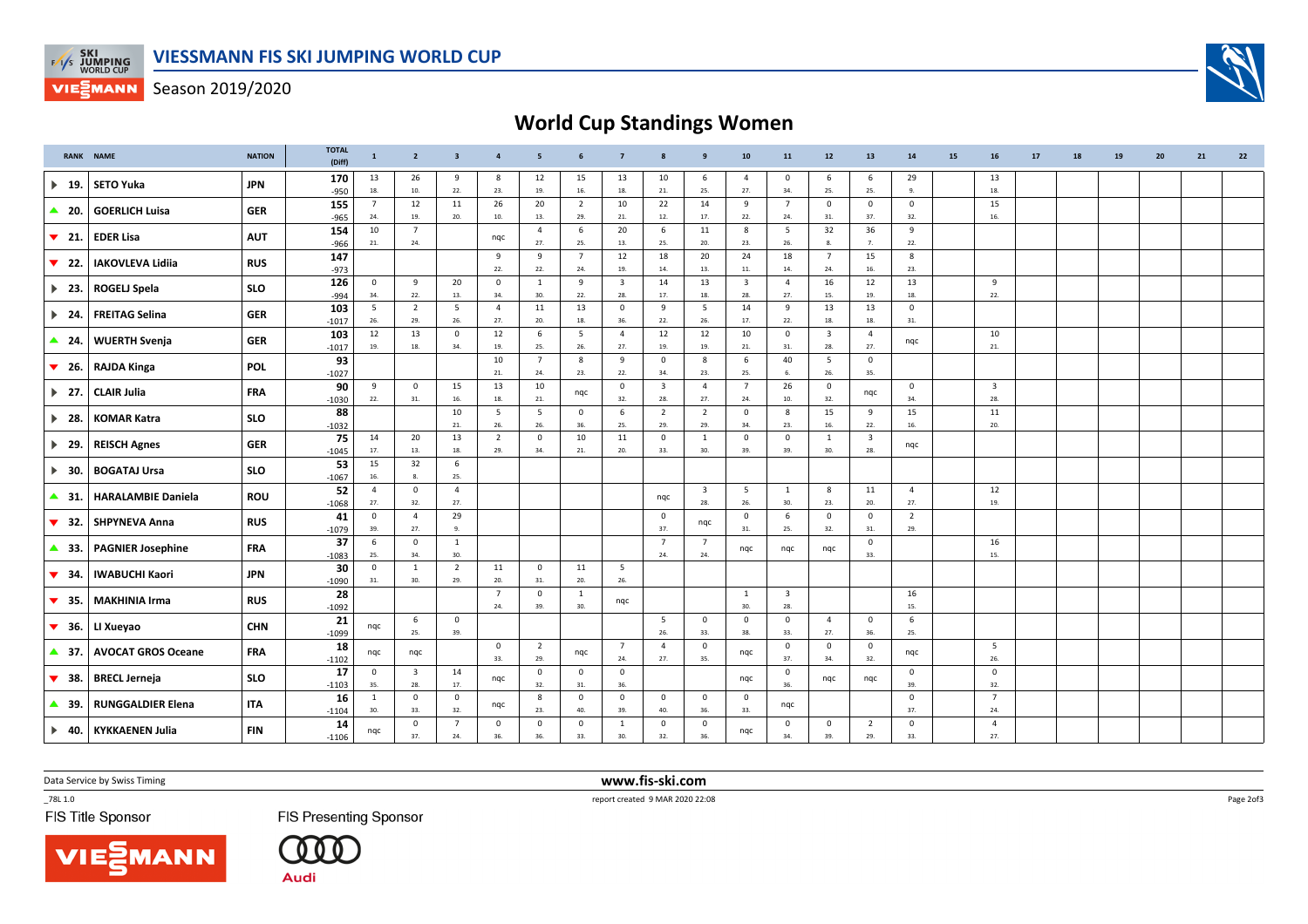

VIESMANN Season 2019/2020

## **World Cup Standings Women**

|                           | <b>RANK NAME</b>          | <b>NATION</b> | <b>TOTAL</b><br>(Diff) | $\mathbf{1}$          | $\overline{2}$                 | $\overline{\mathbf{3}}$ | $\overline{4}$        | 5                     | 6                     | $\overline{7}$                 | 8                              | 9                              | 10                             | 11                             | $12\,$                | 13                             | 14                    | 15 | 16                      | 17 | 18 | 19 | 20 | 21 | 22 |
|---------------------------|---------------------------|---------------|------------------------|-----------------------|--------------------------------|-------------------------|-----------------------|-----------------------|-----------------------|--------------------------------|--------------------------------|--------------------------------|--------------------------------|--------------------------------|-----------------------|--------------------------------|-----------------------|----|-------------------------|----|----|----|----|----|----|
| $\blacktriangleright$ 19. | <b>SETO Yuka</b>          | <b>JPN</b>    | 170<br>$-950$          | 13<br>18.             | 26<br>10.                      | 9<br>22.                | -8<br>23.             | 12<br>19.             | 15<br>16.             | 13<br>18.                      | 10<br>21.                      | 6<br>25.                       | $\overline{4}$<br>27.          | $\mathbf 0$<br>34.             | 6<br>25.              | -6<br>25.                      | 29<br>9.              |    | 13<br>18.               |    |    |    |    |    |    |
| $\triangle$ 20.           | <b>GOERLICH Luisa</b>     | <b>GER</b>    | 155<br>$-965$          | $\overline{7}$<br>24. | 12<br>19.                      | 11<br>20.               | 26<br>10.             | 20<br>13.             | $\overline{2}$<br>29. | 10<br>21.                      | 22<br>12.                      | 14<br>17.                      | 9<br>22.                       | $\overline{7}$<br>24.          | $\mathbf{0}$<br>31.   | $\mathbf 0$<br>37.             | $\mathbf 0$<br>32.    |    | 15<br>16.               |    |    |    |    |    |    |
| $\blacktriangledown$ 21.  | <b>EDER Lisa</b>          | <b>AUT</b>    | 154                    | 10<br>21.             | $\overline{7}$<br>24.          |                         | nqc                   | $\overline{4}$<br>27. | 6<br>25.              | 20<br>13.                      | 6<br>25.                       | 11<br>20.                      | 8<br>23.                       | 5<br>26.                       | 32<br>8.              | 36<br>7.                       | 9<br>22.              |    |                         |    |    |    |    |    |    |
| $\blacktriangledown$ 22.  | <b>IAKOVLEVA Lidiia</b>   | <b>RUS</b>    | $-966$<br>147          |                       |                                |                         | 9<br>22.              | 9                     | $\overline{7}$        | 12                             | 18                             | 20                             | 24                             | 18                             | $7\overline{ }$       | 15                             | 8                     |    |                         |    |    |    |    |    |    |
| $\blacktriangleright$ 23. | <b>ROGELJ Spela</b>       | <b>SLO</b>    | $-973$<br>126          | $\mathbf 0$           | $\overline{9}$                 | 20                      | $\mathbf 0$           | 22.<br>$\mathbf{1}$   | 24.<br>9              | 19.<br>$\overline{\mathbf{3}}$ | 14.<br>14                      | 13.<br>13                      | 11.<br>$\overline{\mathbf{3}}$ | 14.<br>$\overline{4}$          | 24.<br>16             | 16.<br>12                      | 23.<br>13             |    | $\overline{9}$          |    |    |    |    |    |    |
| $\blacktriangleright$ 24. | <b>FREITAG Selina</b>     | <b>GER</b>    | $-994$<br>103          | 34.<br>5              | 22.<br>$\overline{2}$          | 13.<br>5                | 34.<br>$\overline{4}$ | 30.<br>11             | 22.<br>13             | 28.<br>$\mathsf 0$             | 17.<br>9                       | 18.<br>5                       | 28.<br>14                      | 27.<br>9                       | 15.<br>13             | 19.<br>13                      | 18.<br>$\mathbf 0$    |    | 22.                     |    |    |    |    |    |    |
| $\triangle$ 24.           | <b>WUERTH Svenja</b>      | <b>GER</b>    | $-1017$<br>103         | 26.<br>12             | 29.<br>13                      | 26.<br>$\mathbf 0$      | 27.<br>12             | 20.<br>6              | $18. \,$<br>5         | 36.<br>$\overline{4}$          | 22.<br>12                      | 26.<br>12                      | 17.<br>10                      | 22.<br>$\mathbf 0$             | 18.<br>$\mathbf{3}$   | 18.<br>$\overline{4}$          | 31.<br>ngc            |    | 10                      |    |    |    |    |    |    |
|                           |                           |               | $-1017$<br>93          | 19.                   | 18.                            | 34.                     | 19.<br>10             | 25.<br>$\overline{7}$ | 26.<br>8              | 27.<br>9                       | 19.<br>$\mathsf 0$             | 19.<br>8                       | 21.<br>6                       | 31.<br>40                      | 28.<br>5              | 27.<br>$\mathbf 0$             |                       |    | 21.                     |    |    |    |    |    |    |
| $\blacktriangledown$ 26.  | <b>RAJDA Kinga</b>        | <b>POL</b>    | $-1027$<br>90          | 9                     | $\mathbf{0}$                   | 15                      | 21.<br>13             | 24.<br>10             | 23.                   | 22.<br>$\mathsf 0$             | 34.<br>$\overline{\mathbf{3}}$ | 23.<br>$\overline{4}$          | 25.<br>$\overline{7}$          | 6.<br>26                       | 26.<br>$\mathsf 0$    | 35.                            | $\mathbf 0$           |    | $\overline{\mathbf{3}}$ |    |    |    |    |    |    |
| $\blacktriangleright$ 27. | <b>CLAIR Julia</b>        | <b>FRA</b>    | $-1030$<br>88          | 22.                   | 31.                            | 16.<br>10               | 18.<br>5              | 21.<br>5              | nqc<br>$\mathsf 0$    | 32.<br>6                       | 28.<br>$\overline{2}$          | 27.<br>$\overline{2}$          | 24.<br>$\mathbf 0$             | 10.<br>8                       | 32.<br>15             | nqc<br>9                       | 34.<br>15             |    | 28.<br>11               |    |    |    |    |    |    |
| $\blacktriangleright$ 28. | <b>KOMAR Katra</b>        | <b>SLO</b>    | $-1032$<br>75          | 14                    | 20                             | 21.<br>13               | 26.<br>$\overline{2}$ | 26.<br>$\circ$        | 36.<br>10             | 25.<br>11                      | 29.<br>$\mathsf 0$             | 29.<br>$\mathbf{1}$            | 34.<br>$\mathbf 0$             | 23.<br>$\mathbf 0$             | 16.<br>$\mathbf{1}$   | 22.<br>$\overline{\mathbf{3}}$ | 16.                   |    | 20.                     |    |    |    |    |    |    |
| $\blacktriangleright$ 29. | <b>REISCH Agnes</b>       | <b>GER</b>    | $-1045$                | 17.                   | 13.                            | 18.                     | 29.                   | 34.                   | 21.                   | 20.                            | 33.                            | 30.                            | 39.                            | 39.                            | 30.                   | 28.                            | nqc                   |    |                         |    |    |    |    |    |    |
| $\blacktriangleright$ 30. | <b>BOGATAJ Ursa</b>       | <b>SLO</b>    | 53<br>$-1067$          | 15<br>16.             | 32<br>8.                       | 6<br>25.                |                       |                       |                       |                                |                                |                                |                                |                                |                       |                                |                       |    |                         |    |    |    |    |    |    |
| $\triangle$ 31.           | <b>HARALAMBIE Daniela</b> | <b>ROU</b>    | 52<br>$-1068$          | $\overline{a}$<br>27. | $\mathbf 0$<br>32.             | $\overline{4}$<br>27.   |                       |                       |                       |                                | nqc                            | $\overline{\mathbf{3}}$<br>28. | $5\overline{5}$<br>26.         | $\overline{1}$<br>30.          | 8<br>23.              | 11<br>20.                      | $\overline{4}$<br>27. |    | 12<br>19.               |    |    |    |    |    |    |
| $\blacktriangledown$ 32.  | <b>SHPYNEVA Anna</b>      | <b>RUS</b>    | 41<br>$-1079$          | $\mathbf 0$<br>39.    | $\overline{4}$<br>27.          | 29<br>9.                |                       |                       |                       |                                | $\mathbf{0}$<br>37.            | nqc                            | $\mathbf{0}$<br>31.            | 6<br>25.                       | $\mathbf{0}$<br>32.   | $\mathbf 0$<br>31.             | $\overline{2}$<br>29. |    |                         |    |    |    |    |    |    |
| $\triangle$ 33.           | <b>PAGNIER Josephine</b>  | <b>FRA</b>    | 37<br>$-1083$          | 6<br>25.              | $\mathsf 0$<br>34.             | 1<br>30.                |                       |                       |                       |                                | $\overline{7}$<br>24.          | $\overline{7}$<br>24.          | nqc                            | nqc                            | nqc                   | $\mathbf 0$<br>33.             |                       |    | 16<br>15.               |    |    |    |    |    |    |
| $\blacktriangledown$ 34.  | <b>IWABUCHI Kaori</b>     | <b>JPN</b>    | 30<br>$-1090$          | $\mathsf 0$<br>31.    | <sup>1</sup><br>30.            | $\overline{2}$<br>29.   | 11<br>20.             | $\mathbf 0$<br>31.    | 11<br>20.             | $5\overline{5}$<br>26.         |                                |                                |                                |                                |                       |                                |                       |    |                         |    |    |    |    |    |    |
| $\blacktriangledown$ 35.  | <b>MAKHINIA Irma</b>      | <b>RUS</b>    | 28<br>$-1092$          |                       |                                |                         | $\overline{7}$<br>24. | $^{\circ}$<br>39.     | 1<br>30.              | nqc                            |                                |                                | $\overline{1}$<br>30.          | $\overline{\mathbf{3}}$<br>28. |                       |                                | 16<br>15.             |    |                         |    |    |    |    |    |    |
| $\blacktriangledown$ 36.  | LI Xueyao                 | <b>CHN</b>    | 21<br>$-1099$          | nqc                   | 6<br>25.                       | $\mathbf 0$<br>39.      |                       |                       |                       |                                | 5<br>26.                       | $\mathbf 0$<br>33.             | $\mathbf 0$<br>38.             | $\mathbf 0$<br>33.             | $\overline{4}$<br>27. | $\mathbf 0$<br>36.             | 6<br>25.              |    |                         |    |    |    |    |    |    |
| $\triangle$ 37.           | <b>AVOCAT GROS Oceane</b> | <b>FRA</b>    | 18<br>$-1102$          | nqc                   | nqc                            |                         | $\mathbf 0$<br>33.    | $\overline{2}$<br>29. | nqc                   | $\overline{7}$<br>24.          | $\overline{4}$<br>27.          | $\mathbf 0$<br>35.             | nqc                            | $\mathbf 0$<br>37.             | $\mathbf 0$<br>34.    | $\mathbf 0$<br>32.             | nqc                   |    | 5<br>26.                |    |    |    |    |    |    |
| $\blacktriangledown$ 38.  | <b>BRECL Jerneja</b>      | <b>SLO</b>    | 17                     | $\mathbf 0$<br>35.    | $\overline{\mathbf{3}}$<br>28. | 14<br>17.               | nqc                   | $\mathbf 0$<br>32.    | $\mathbf 0$<br>31.    | $\mathbf 0$<br>36.             |                                |                                | ngc                            | $\mathbf 0$<br>36.             | nqc                   | nqc                            | $\mathbf 0$<br>39.    |    | $\mathbf 0$<br>32.      |    |    |    |    |    |    |
| ▲ 39.                     | <b>RUNGGALDIER Elena</b>  | <b>ITA</b>    | $-1103$<br>16          | $\mathbf{1}$          | $\mathbf 0$                    | $\mathbf 0$             | nqc                   | 8                     | $\mathbf 0$           | $\mathbf 0$                    | $\mathbf 0$                    | $\mathbf 0$                    | $\mathbf 0$                    | nqc                            |                       |                                | $\mathbf 0$           |    | $\overline{7}$          |    |    |    |    |    |    |
| $\blacktriangleright$ 40. | <b>KYKKAENEN Julia</b>    | <b>FIN</b>    | $-1104$<br>14          | 30.<br>nqc            | 33.<br>0                       | 32.<br>$7\overline{ }$  | $\mathbf 0$           | 23.<br>$\mathbf 0$    | 40.<br>$\mathbf 0$    | 39.<br><sup>1</sup>            | 40.<br>$\mathbf 0$             | 36.<br>$\mathbf 0$             | 33.<br>ngc                     | $\mathbf 0$                    | $\mathbf 0$           | 2                              | 37.<br>$\mathbf 0$    |    | 24.<br>$\overline{4}$   |    |    |    |    |    |    |
|                           |                           |               | $-1106$                |                       | 37.                            | 24.                     | 36.                   | 36.                   | 33.                   | 30.                            | 32.                            | 36                             |                                | 34.                            | 39.                   | 29.                            | 33.                   |    | 27.                     |    |    |    |    |    |    |

Data Service by Swiss Timing **www.fis-ski.com**

**MANN** 

FIS Title Sponsor

**FIS Presenting Sponsor** 

 $(000$ **Audi** 

\_78L 1.0 report created 9 MAR 2020 22:08

Page 2of3